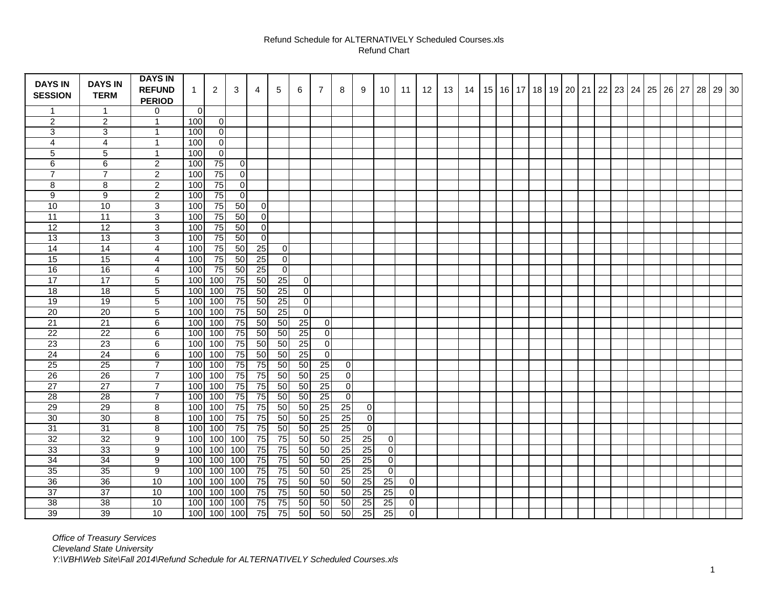## Refund Schedule for ALTERNATIVELY Scheduled Courses.xls Refund Chart

| <b>DAYS IN</b>          | <b>DAYS IN</b>          | <b>DAYS IN</b><br><b>REFUND</b> | $\mathbf 1$    | $\overline{2}$  | 3               | 4               | 5               | 6               | $\overline{7}$                     | 8               | 9               | 10              | 11             | 12 | 13 | 14 | 15 | 16 17 | 18 | 19 20 21 | 22 | $\vert$ 23 $\vert$ 24 $\vert$ |  | 25 26 | 27 | 28 | 29 30 |
|-------------------------|-------------------------|---------------------------------|----------------|-----------------|-----------------|-----------------|-----------------|-----------------|------------------------------------|-----------------|-----------------|-----------------|----------------|----|----|----|----|-------|----|----------|----|-------------------------------|--|-------|----|----|-------|
| <b>SESSION</b>          | <b>TERM</b>             | <b>PERIOD</b>                   |                |                 |                 |                 |                 |                 |                                    |                 |                 |                 |                |    |    |    |    |       |    |          |    |                               |  |       |    |    |       |
| $\mathbf{1}$            | $\mathbf{1}$            | 0                               | $\overline{0}$ |                 |                 |                 |                 |                 |                                    |                 |                 |                 |                |    |    |    |    |       |    |          |    |                               |  |       |    |    |       |
| $\overline{2}$          | $\overline{2}$          | $\mathbf{1}$                    | 100            | 0               |                 |                 |                 |                 |                                    |                 |                 |                 |                |    |    |    |    |       |    |          |    |                               |  |       |    |    |       |
| 3                       | 3                       | $\mathbf{1}$                    | 100            | 0               |                 |                 |                 |                 |                                    |                 |                 |                 |                |    |    |    |    |       |    |          |    |                               |  |       |    |    |       |
| $\overline{\mathbf{4}}$ | $\overline{\mathbf{4}}$ | $\mathbf{1}$                    | 100            | 0               |                 |                 |                 |                 |                                    |                 |                 |                 |                |    |    |    |    |       |    |          |    |                               |  |       |    |    |       |
| 5                       | 5                       | $\mathbf{1}$                    | 100            | 0               |                 |                 |                 |                 |                                    |                 |                 |                 |                |    |    |    |    |       |    |          |    |                               |  |       |    |    |       |
| 6                       | 6                       | $\overline{2}$                  | 100            | 75              | 0               |                 |                 |                 |                                    |                 |                 |                 |                |    |    |    |    |       |    |          |    |                               |  |       |    |    |       |
| $\overline{7}$          | $\overline{7}$          | $\overline{2}$                  | 100            | $\overline{75}$ | 0               |                 |                 |                 |                                    |                 |                 |                 |                |    |    |    |    |       |    |          |    |                               |  |       |    |    |       |
| 8                       | 8                       | $\overline{2}$                  | 100            | 75              | 0               |                 |                 |                 |                                    |                 |                 |                 |                |    |    |    |    |       |    |          |    |                               |  |       |    |    |       |
| 9                       | 9                       | $\overline{2}$                  | 100            | $\overline{75}$ | 0               |                 |                 |                 |                                    |                 |                 |                 |                |    |    |    |    |       |    |          |    |                               |  |       |    |    |       |
| 10                      | 10                      | 3                               | 100            | $\overline{75}$ | 50              | $\pmb{0}$       |                 |                 |                                    |                 |                 |                 |                |    |    |    |    |       |    |          |    |                               |  |       |    |    |       |
| 11                      | 11                      | 3                               | 100            | $\overline{75}$ | 50              | $\overline{0}$  |                 |                 |                                    |                 |                 |                 |                |    |    |    |    |       |    |          |    |                               |  |       |    |    |       |
| $\overline{12}$         | $\overline{12}$         | 3                               | 100            | $\overline{75}$ | 50              | $\overline{0}$  |                 |                 |                                    |                 |                 |                 |                |    |    |    |    |       |    |          |    |                               |  |       |    |    |       |
| 13                      | 13                      | $\mathbf{3}$                    | 100            | $\overline{75}$ | 50              | $\overline{0}$  |                 |                 |                                    |                 |                 |                 |                |    |    |    |    |       |    |          |    |                               |  |       |    |    |       |
| 14                      | 14                      | $\overline{4}$                  | 100            | $\overline{75}$ | 50              | 25              | 0               |                 |                                    |                 |                 |                 |                |    |    |    |    |       |    |          |    |                               |  |       |    |    |       |
| 15                      | 15                      | 4                               | 100            | 75              | 50              | 25              | 0               |                 |                                    |                 |                 |                 |                |    |    |    |    |       |    |          |    |                               |  |       |    |    |       |
| 16                      | 16                      | 4                               | 100            | 75              | $\overline{50}$ | $\overline{25}$ | 0               |                 |                                    |                 |                 |                 |                |    |    |    |    |       |    |          |    |                               |  |       |    |    |       |
| 17                      | $\overline{17}$         | 5                               | 100            | 100             | 75              | 50              | $\overline{25}$ | $\overline{0}$  |                                    |                 |                 |                 |                |    |    |    |    |       |    |          |    |                               |  |       |    |    |       |
| 18                      | 18                      | $5\phantom{.0}$                 | 100            | 100             | 75              | 50              | $\overline{25}$ | $\mathbf 0$     |                                    |                 |                 |                 |                |    |    |    |    |       |    |          |    |                               |  |       |    |    |       |
| 19                      | 19                      | 5                               | 100            | 100             | 75              | 50              | 25              | 0               |                                    |                 |                 |                 |                |    |    |    |    |       |    |          |    |                               |  |       |    |    |       |
| 20                      | 20                      | 5                               | 100            | 100             | $\overline{75}$ | $\overline{50}$ | $\overline{25}$ | $\overline{0}$  |                                    |                 |                 |                 |                |    |    |    |    |       |    |          |    |                               |  |       |    |    |       |
| 21                      | $\overline{21}$         | 6                               |                | $100$ 100       | 75              | 50              | 50              | $\overline{25}$ | $\overline{0}$                     |                 |                 |                 |                |    |    |    |    |       |    |          |    |                               |  |       |    |    |       |
| 22                      | 22                      | 6                               |                | $100$ 100       | 75              | 50              | 50              | 25              | $\overline{0}$                     |                 |                 |                 |                |    |    |    |    |       |    |          |    |                               |  |       |    |    |       |
| 23                      | 23                      | 6                               |                | $100$ 100       | 75              | 50              | 50              | 25              | $\overline{0}$                     |                 |                 |                 |                |    |    |    |    |       |    |          |    |                               |  |       |    |    |       |
| 24                      | 24                      | 6                               | 100            | 100             | $\overline{75}$ | $\overline{50}$ | 50              | $\overline{25}$ | $\overline{0}$                     |                 |                 |                 |                |    |    |    |    |       |    |          |    |                               |  |       |    |    |       |
| $\overline{25}$         | $\overline{25}$         | $\overline{7}$                  | 100            | 100             | $\overline{75}$ | $\overline{75}$ | 50              | 50              | $\overline{25}$                    | 0               |                 |                 |                |    |    |    |    |       |    |          |    |                               |  |       |    |    |       |
| 26                      | $\overline{26}$         | $\overline{7}$                  |                | $100$ 100       | 75              | 75              | 50              | 50              | 25                                 | 0               |                 |                 |                |    |    |    |    |       |    |          |    |                               |  |       |    |    |       |
| 27                      | 27                      | $\overline{7}$                  |                | $100$ 100       | 75              | 75              | $\overline{50}$ | 50              | $\overline{25}$                    | 0               |                 |                 |                |    |    |    |    |       |    |          |    |                               |  |       |    |    |       |
| 28                      | 28                      | $\overline{7}$                  | 100            | 100             | 75              | $\overline{75}$ | 50              | $\overline{50}$ |                                    | $\overline{0}$  |                 |                 |                |    |    |    |    |       |    |          |    |                               |  |       |    |    |       |
| 29                      | 29                      | 8                               | 100            | 100             | 75              | 75              | 50              | 50              | $\frac{25}{25}$<br>$\frac{25}{25}$ | 25              | 0               |                 |                |    |    |    |    |       |    |          |    |                               |  |       |    |    |       |
| 30                      | 30                      | 8                               |                | $100$ 100       | 75              | 75              | 50              | 50              |                                    | 25              | $\overline{0}$  |                 |                |    |    |    |    |       |    |          |    |                               |  |       |    |    |       |
| $\overline{31}$         | 31                      | 8                               |                | $100$ 100       | $\overline{75}$ | $\overline{75}$ | $\overline{50}$ | 50              |                                    | 25              | $\overline{0}$  |                 |                |    |    |    |    |       |    |          |    |                               |  |       |    |    |       |
| 32                      | 32                      | 9                               |                | $100$ 100       | 100             | 75              | $\overline{75}$ | $\overline{50}$ | $\overline{50}$                    | 25              | 25              | 0               |                |    |    |    |    |       |    |          |    |                               |  |       |    |    |       |
| 33                      | 33                      | 9                               | 100            | 100             | 100             | 75              | $\overline{75}$ | 50              | 50                                 | 25              | 25              | $\mathbf 0$     |                |    |    |    |    |       |    |          |    |                               |  |       |    |    |       |
| 34                      | $\overline{34}$         | 9                               | 100            | 100             | 100             | 75              | $\overline{75}$ | 50              | 50                                 | $\overline{25}$ | 25              | $\overline{0}$  |                |    |    |    |    |       |    |          |    |                               |  |       |    |    |       |
| 35                      | 35                      | 9                               |                | 100 100         | 100             | 75              | $\overline{75}$ | 50              | $\overline{50}$                    | $\overline{25}$ | 25              | $\mathbf 0$     |                |    |    |    |    |       |    |          |    |                               |  |       |    |    |       |
| 36                      | 36                      | 10                              | 100            | 100             | 100             | $\overline{75}$ | $\overline{75}$ | 50              | $\overline{50}$                    | 50              | 25              | 25              | 0              |    |    |    |    |       |    |          |    |                               |  |       |    |    |       |
| 37                      | 37                      | 10                              | 100            | 100             | 100             | 75              | 75              | 50              | 50                                 | 50              | 25              | 25              | 0              |    |    |    |    |       |    |          |    |                               |  |       |    |    |       |
| 38                      | 38                      | 10                              | 100            | 100             | 100             | 75              | 75              | 50              | $\overline{50}$                    | 50              | 25              | $\overline{25}$ | $\overline{0}$ |    |    |    |    |       |    |          |    |                               |  |       |    |    |       |
| 39                      | 39                      | 10                              |                | $100$ 100       | 100             | $\overline{75}$ | $\overline{75}$ | 50              | $\overline{50}$                    | $\overline{50}$ | $\overline{25}$ | $\overline{25}$ | $\overline{0}$ |    |    |    |    |       |    |          |    |                               |  |       |    |    |       |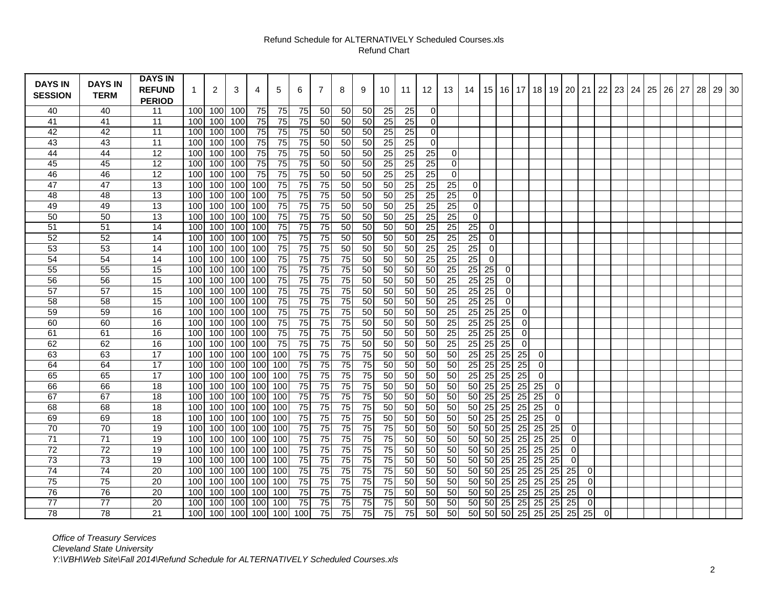## Refund Schedule for ALTERNATIVELY Scheduled Courses.xls Refund Chart

| <b>DAYS IN</b>  | <b>DAYS IN</b>  | <b>DAYS IN</b>  |     |              |         |                 |                 |                 |                 |                 |    |                 |                 |                 |                 |                  |                 |                 |                 |                    |                 |                 |                  |    |    |    |    |    |    |    |       |
|-----------------|-----------------|-----------------|-----|--------------|---------|-----------------|-----------------|-----------------|-----------------|-----------------|----|-----------------|-----------------|-----------------|-----------------|------------------|-----------------|-----------------|-----------------|--------------------|-----------------|-----------------|------------------|----|----|----|----|----|----|----|-------|
|                 |                 | <b>REFUND</b>   | 1   | $\mathbf{2}$ | 3       | 4               | 5               | 6               | $\overline{7}$  | 8               | 9  | 10              | 11              | 12              | 13              | 14               | 15              | 16 I            |                 | 17   18            | 19              | 20 21           |                  | 22 | 23 | 24 | 25 | 26 | 27 | 28 | 29 30 |
| <b>SESSION</b>  | <b>TERM</b>     | <b>PERIOD</b>   |     |              |         |                 |                 |                 |                 |                 |    |                 |                 |                 |                 |                  |                 |                 |                 |                    |                 |                 |                  |    |    |    |    |    |    |    |       |
| 40              | 40              | 11              | 100 | 100          | 100     | 75              | 75              | 75              | 50              | 50              | 50 | 25              | 25              | $\mathbf 0$     |                 |                  |                 |                 |                 |                    |                 |                 |                  |    |    |    |    |    |    |    |       |
| 41              | 41              | $\overline{11}$ | 100 | 100          | 100     | $\overline{75}$ | $\overline{75}$ | $\overline{75}$ | 50              | $\overline{50}$ | 50 | $\overline{25}$ | 25              | $\pmb{0}$       |                 |                  |                 |                 |                 |                    |                 |                 |                  |    |    |    |    |    |    |    |       |
| 42              | 42              | $\overline{11}$ | 100 | 100          | 100     | 75              | $\overline{75}$ | $\overline{75}$ | 50              | 50              | 50 | 25              | 25              | 0               |                 |                  |                 |                 |                 |                    |                 |                 |                  |    |    |    |    |    |    |    |       |
| 43              | 43              | 11              | 100 | 100          | 100     | 75              | 75              | 75              | 50              | 50              | 50 | 25              | 25              | $\mathbf 0$     |                 |                  |                 |                 |                 |                    |                 |                 |                  |    |    |    |    |    |    |    |       |
| 44              | 44              | 12              | 100 | 100          | 100     | 75              | 75              | 75              | 50              | 50              | 50 | 25              | 25              | 25              | 0               |                  |                 |                 |                 |                    |                 |                 |                  |    |    |    |    |    |    |    |       |
| 45              | 45              | 12              | 100 | 100          | 100     | 75              | 75              | 75              | 50              | 50              | 50 | $\overline{25}$ | 25              | 25              | 0               |                  |                 |                 |                 |                    |                 |                 |                  |    |    |    |    |    |    |    |       |
| 46              | 46              | $\overline{12}$ | 100 | 100          | 100     | 75              | 75              | 75              | 50              | 50              | 50 | 25              | 25              | $\overline{25}$ | 0               |                  |                 |                 |                 |                    |                 |                 |                  |    |    |    |    |    |    |    |       |
| 47              | 47              | 13              | 100 | 100          | 100     | 100             | 75              | 75              | $\overline{75}$ | 50              | 50 | 50              | $\overline{25}$ | 25              | 25              | $\overline{0}$   |                 |                 |                 |                    |                 |                 |                  |    |    |    |    |    |    |    |       |
| 48              | 48              | 13              | 100 | 100          | 100     | 100             | $75\,$          | 75              | 75              | 50              | 50 | 50              | 25              | 25              | 25              | $\overline{0}$   |                 |                 |                 |                    |                 |                 |                  |    |    |    |    |    |    |    |       |
| 49              | 49              | 13              | 100 | 100          | $100\,$ | 100             | $\overline{75}$ | 75              | 75              | 50              | 50 | 50              | 25              | $\overline{25}$ | 25              | $\boldsymbol{0}$ |                 |                 |                 |                    |                 |                 |                  |    |    |    |    |    |    |    |       |
| 50              | 50              | 13              | 100 | 100          | 100     | 100             | 75              | 75              | 75              | 50              | 50 | 50              | 25              | $\overline{25}$ | $\overline{25}$ | $\overline{0}$   |                 |                 |                 |                    |                 |                 |                  |    |    |    |    |    |    |    |       |
| 51              | 51              | 14              | 100 | 100          | 100     | 100             | 75              | 75              | 75              | 50              | 50 | 50              | 50              | $\overline{25}$ | 25              | 25               | $\pmb{0}$       |                 |                 |                    |                 |                 |                  |    |    |    |    |    |    |    |       |
| 52              | 52              | 14              | 100 | 100          | 100     | 100             | 75              | 75              | 75              | 50              | 50 | 50              | 50              | 25              | 25              | 25               | 0               |                 |                 |                    |                 |                 |                  |    |    |    |    |    |    |    |       |
| 53              | 53              | 14              | 100 | 100          | 100     | 100             | 75              | 75              | 75              | 50              | 50 | 50              | 50              | 25              | $\overline{25}$ | 25               | 0               |                 |                 |                    |                 |                 |                  |    |    |    |    |    |    |    |       |
| 54              | 54              | 14              | 100 | 100          | 100     | 100             | 75              | 75              | 75              | 75              | 50 | 50              | 50              | $\overline{25}$ | 25              | 25               | 0               |                 |                 |                    |                 |                 |                  |    |    |    |    |    |    |    |       |
| 55              | 55              | 15              | 100 | 100          | 100     | 100             | 75              | 75              | 75              | 75              | 50 | 50              | 50              | 50              | $\overline{25}$ | 25               | 25              | $\pmb{0}$       |                 |                    |                 |                 |                  |    |    |    |    |    |    |    |       |
| 56              | 56              | 15              | 100 | 100          | 100     | 100             | 75              | 75              | 75              | 75              | 50 | 50              | 50              | 50              | 25              | 25               | 25              | $\mathbf 0$     |                 |                    |                 |                 |                  |    |    |    |    |    |    |    |       |
| 57              | 57              | 15              | 100 | 100          | 100     | 100             | ${\bf 75}$      | 75              | 75              | 75              | 50 | 50              | 50              | 50              | $\overline{25}$ | 25               | 25              | $\mathbf 0$     |                 |                    |                 |                 |                  |    |    |    |    |    |    |    |       |
| 58              | 58              | 15              | 100 | 100          | $100\,$ | 100             | 75              | 75              | 75              | 75              | 50 | 50              | 50              | 50              | 25              | 25               | 25              | $\mathbf 0$     |                 |                    |                 |                 |                  |    |    |    |    |    |    |    |       |
| 59              | 59              | 16              | 100 | 100          | 100     | 100             | 75              | 75              | 75              | $\overline{75}$ | 50 | 50              | 50              | 50              | 25              | 25               | $\overline{25}$ | $\overline{25}$ | $\overline{0}$  |                    |                 |                 |                  |    |    |    |    |    |    |    |       |
| 60              | 60              | 16              | 100 | 100          | 100     | 100             | 75              | 75              | $\overline{75}$ | 75              | 50 | 50              | 50              | 50              | 25              | 25               | 25              | $\overline{25}$ | 0               |                    |                 |                 |                  |    |    |    |    |    |    |    |       |
| 61              | 61              | 16              | 100 | 100          | 100     | 100             | 75              | 75              | 75              | 75              | 50 | 50              | 50              | 50              | 25              | 25               | $\overline{25}$ | 25              | 0               |                    |                 |                 |                  |    |    |    |    |    |    |    |       |
| 62              | 62              | 16              | 100 | 100          | 100     | 100             | 75              | 75              | $\overline{75}$ | 75              | 50 | 50              | 50              | 50              | 25              | 25               | $\overline{25}$ | 25              | $\overline{0}$  |                    |                 |                 |                  |    |    |    |    |    |    |    |       |
| 63              | 63              | 17              | 100 | 100          | 100     | 100             | 100             | 75              | 75              | 75              | 75 | 50              | 50              | 50              | 50              | 25               | 25              | 25              | 25              | 0                  |                 |                 |                  |    |    |    |    |    |    |    |       |
| 64              | 64              | $\overline{17}$ | 100 | 100          | 100     | 100             | 100             | 75              | 75              | 75              | 75 | 50              | 50              | 50              | 50              | 25               | 25              | 25              | 25              | 0                  |                 |                 |                  |    |    |    |    |    |    |    |       |
| 65              | 65              | 17              | 100 | 100          | 100     | 100             | 100             | 75              | 75              | 75              | 75 | 50              | 50              | 50              | 50              | 25               | $\overline{25}$ | 25              | 25              | 0                  |                 |                 |                  |    |    |    |    |    |    |    |       |
| 66              | 66              | 18              | 100 | 100          | 100     | 100             | 100             | 75              | 75              | 75              | 75 | 50              | 50              | 50              | 50              | 50               | $\overline{25}$ | 25              |                 | $25$ 25            | 0               |                 |                  |    |    |    |    |    |    |    |       |
| 67              | 67              | 18              | 100 | 100          | 100     | 100             | 100             | 75              | 75              | 75              | 75 | 50              | 50              | 50              | 50              | 50               | $\overline{25}$ | 25              |                 | $\overline{25}$ 25 | $\mathbf 0$     |                 |                  |    |    |    |    |    |    |    |       |
| 68              | 68              | 18              | 100 | 100          | 100     | 100             | 100             | 75              | 75              | 75              | 75 | 50              | 50              | 50              | 50              | 50               | 25              | 25              |                 | $25$ 25            | $\mathbf 0$     |                 |                  |    |    |    |    |    |    |    |       |
| 69              | 69              | 18              | 100 | 100          | 100     | 100             | 100             | 75              | $\overline{75}$ | 75              | 75 | 50              | 50              | 50              | 50              | 50               | $\overline{25}$ | 25              | 25              | 25                 | $\mathbf 0$     |                 |                  |    |    |    |    |    |    |    |       |
| 70              | 70              | 19              | 100 | 100          | 100     | 100             | 100             | 75              | 75              | 75              | 75 | 75              | 50              | 50              | 50              | 50               | 50              | 25              |                 | $25$ 25            | 25              | 0               |                  |    |    |    |    |    |    |    |       |
| 71              | $\overline{71}$ | 19              | 100 | 100          | 100     | 100             | 100             | 75              | 75              | 75              | 75 | 75              | 50              | 50              | 50              | 50               | 50              | $\overline{25}$ |                 | $\overline{25}$ 25 | 25              | 0               |                  |    |    |    |    |    |    |    |       |
| 72              | 72              | 19              | 100 | 100          | 100     | 100             | 100             | 75              | 75              | 75              | 75 | 75              | 50              | 50              | 50              | 50               | 50              | 25              | 25              | 25                 | 25              | $\mathbf 0$     |                  |    |    |    |    |    |    |    |       |
| 73              | 73              | 19              | 100 | 100          | 100     | 100             | 100             | 75              | 75              | 75              | 75 | 75              | 50              | 50              | 50              | 50               | 50              | $\overline{25}$ | 25              | 25                 | $\overline{25}$ | $\pmb{0}$       |                  |    |    |    |    |    |    |    |       |
| 74              | 74              | 20              | 100 | 100          | 100     | 100             | 100             | 75              | 75              | 75              | 75 | 75              | 50              | 50              | 50              | 50               | 50              | 25              | 25              | $\overline{25}$    | $\overline{25}$ | $\overline{25}$ | $\pmb{0}$        |    |    |    |    |    |    |    |       |
| $\overline{75}$ | 75              | $\overline{20}$ | 100 | 100          | 100     | 100             | 100             | 75              | 75              | 75              | 75 | $\overline{75}$ | 50              | 50              | 50              | 50               | 50              | $\overline{25}$ | $\overline{25}$ | $\overline{25}$    | $\overline{25}$ | $\overline{25}$ | 0                |    |    |    |    |    |    |    |       |
| 76              | 76              | 20              | 100 | 100          | 100     | 100             | 100             | 75              | 75              | 75              | 75 | 75              | 50              | 50              | 50              | 50               | 50              | 25              | 25              | 25                 | 25              | 25              | $\pmb{0}$        |    |    |    |    |    |    |    |       |
| 77              | 77              | 20              | 100 | 100          | 100     | 100             | 100             | $\overline{75}$ | $\overline{75}$ | 75              | 75 | $\overline{75}$ | 50              | 50              | 50              | 50               | 50              | 25              | 25              | 25                 | 25              | $\overline{25}$ | $\boldsymbol{0}$ |    |    |    |    |    |    |    |       |
| 78              | 78              | 21              | 100 | 100          | 100     | 100             | 100             | 100             | 75              | 75              | 75 | 75              | $\overline{75}$ | 50              | 50              | 50               | 50              | 50              | 25              | 25                 | 25              | 25              | 25               | 0  |    |    |    |    |    |    |       |